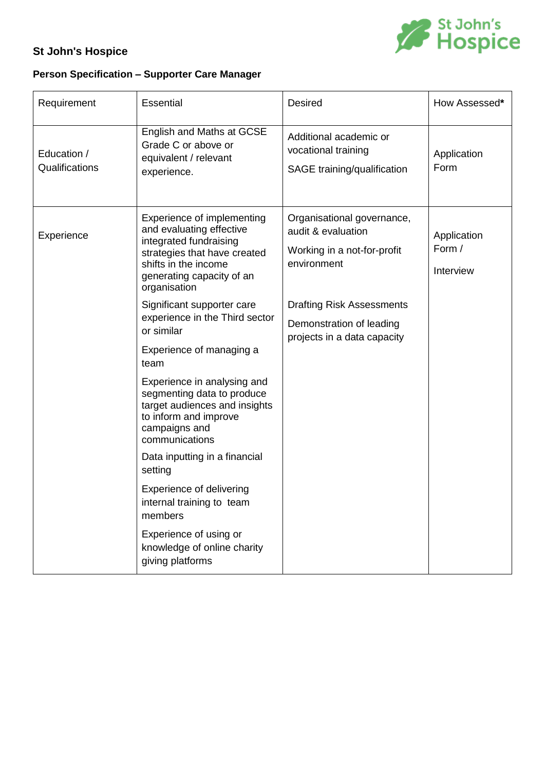

## **St John's Hospice**

## **Person Specification – Supporter Care Manager**

| Requirement                   | <b>Essential</b>                                                                                                                                                                                                                                                                                                                                                                                                                                                                                                                                                                                                                                               | <b>Desired</b>                                                                                                                                                                                | How Assessed*                      |
|-------------------------------|----------------------------------------------------------------------------------------------------------------------------------------------------------------------------------------------------------------------------------------------------------------------------------------------------------------------------------------------------------------------------------------------------------------------------------------------------------------------------------------------------------------------------------------------------------------------------------------------------------------------------------------------------------------|-----------------------------------------------------------------------------------------------------------------------------------------------------------------------------------------------|------------------------------------|
| Education /<br>Qualifications | English and Maths at GCSE<br>Grade C or above or<br>equivalent / relevant<br>experience.                                                                                                                                                                                                                                                                                                                                                                                                                                                                                                                                                                       | Additional academic or<br>vocational training<br>SAGE training/qualification                                                                                                                  | Application<br>Form                |
| Experience                    | Experience of implementing<br>and evaluating effective<br>integrated fundraising<br>strategies that have created<br>shifts in the income<br>generating capacity of an<br>organisation<br>Significant supporter care<br>experience in the Third sector<br>or similar<br>Experience of managing a<br>team<br>Experience in analysing and<br>segmenting data to produce<br>target audiences and insights<br>to inform and improve<br>campaigns and<br>communications<br>Data inputting in a financial<br>setting<br>Experience of delivering<br>internal training to team<br>members<br>Experience of using or<br>knowledge of online charity<br>giving platforms | Organisational governance,<br>audit & evaluation<br>Working in a not-for-profit<br>environment<br><b>Drafting Risk Assessments</b><br>Demonstration of leading<br>projects in a data capacity | Application<br>Form /<br>Interview |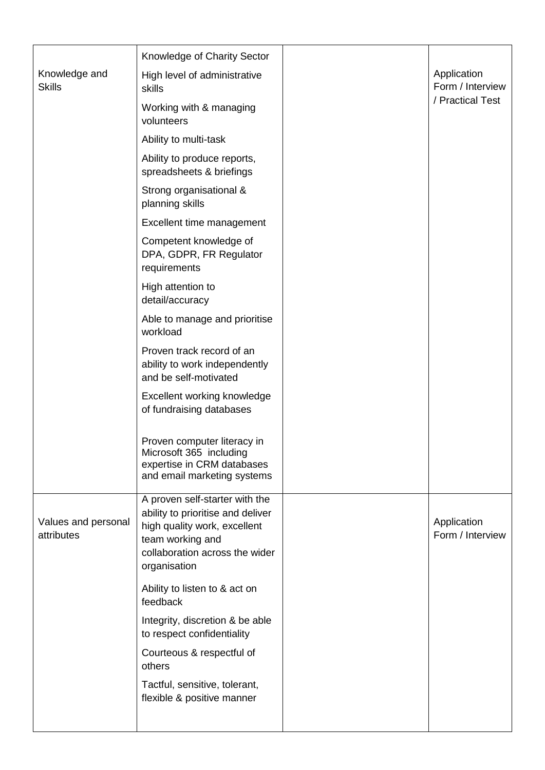|                                   | Knowledge of Charity Sector                                                                                                                                               |                                 |
|-----------------------------------|---------------------------------------------------------------------------------------------------------------------------------------------------------------------------|---------------------------------|
| Knowledge and<br><b>Skills</b>    | High level of administrative<br>skills                                                                                                                                    | Application<br>Form / Interview |
|                                   | Working with & managing<br>volunteers                                                                                                                                     | / Practical Test                |
|                                   | Ability to multi-task                                                                                                                                                     |                                 |
|                                   | Ability to produce reports,<br>spreadsheets & briefings                                                                                                                   |                                 |
|                                   | Strong organisational &<br>planning skills                                                                                                                                |                                 |
|                                   | Excellent time management                                                                                                                                                 |                                 |
|                                   | Competent knowledge of<br>DPA, GDPR, FR Regulator<br>requirements                                                                                                         |                                 |
|                                   | High attention to<br>detail/accuracy                                                                                                                                      |                                 |
|                                   | Able to manage and prioritise<br>workload                                                                                                                                 |                                 |
|                                   | Proven track record of an<br>ability to work independently<br>and be self-motivated                                                                                       |                                 |
|                                   | Excellent working knowledge<br>of fundraising databases                                                                                                                   |                                 |
|                                   | Proven computer literacy in<br>Microsoft 365 including<br>expertise in CRM databases<br>and email marketing systems                                                       |                                 |
| Values and personal<br>attributes | A proven self-starter with the<br>ability to prioritise and deliver<br>high quality work, excellent<br>team working and<br>collaboration across the wider<br>organisation | Application<br>Form / Interview |
|                                   | Ability to listen to & act on<br>feedback                                                                                                                                 |                                 |
|                                   | Integrity, discretion & be able<br>to respect confidentiality                                                                                                             |                                 |
|                                   | Courteous & respectful of<br>others                                                                                                                                       |                                 |
|                                   | Tactful, sensitive, tolerant,<br>flexible & positive manner                                                                                                               |                                 |
|                                   |                                                                                                                                                                           |                                 |